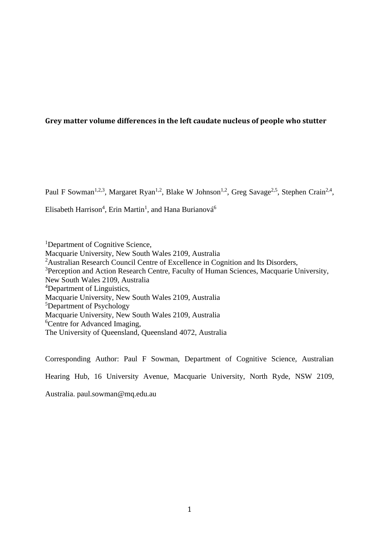# **Grey matter volume differences in the left caudate nucleus of people who stutter**

Paul F Sowman<sup>1,2,3</sup>, Margaret Ryan<sup>1,2</sup>, Blake W Johnson<sup>1,2</sup>, Greg Savage<sup>2,5</sup>, Stephen Crain<sup>2,4</sup>,

Elisabeth Harrison<sup>4</sup>, Erin Martin<sup>1</sup>, and Hana Burianová<sup>6</sup>

<sup>1</sup>Department of Cognitive Science, Macquarie University, New South Wales 2109, Australia <sup>2</sup>Australian Research Council Centre of Excellence in Cognition and Its Disorders, <sup>3</sup>Perception and Action Research Centre, Faculty of Human Sciences, Macquarie University, New South Wales 2109, Australia <sup>4</sup>Department of Linguistics, Macquarie University, New South Wales 2109, Australia <sup>5</sup>Department of Psychology Macquarie University, New South Wales 2109, Australia <sup>6</sup>Centre for Advanced Imaging, The University of Queensland, Queensland 4072, Australia

Corresponding Author: Paul F Sowman, Department of Cognitive Science, Australian Hearing Hub, 16 University Avenue, Macquarie University, North Ryde, NSW 2109, Australia. paul.sowman@mq.edu.au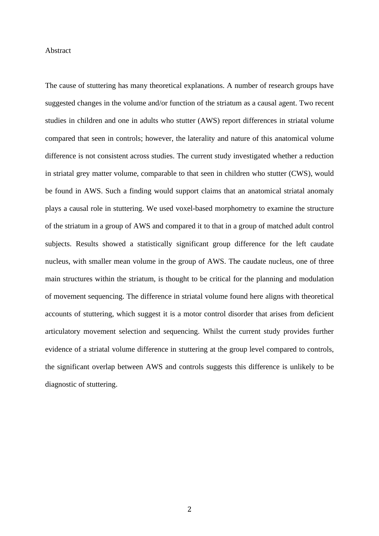### **Abstract**

The cause of stuttering has many theoretical explanations. A number of research groups have suggested changes in the volume and/or function of the striatum as a causal agent. Two recent studies in children and one in adults who stutter (AWS) report differences in striatal volume compared that seen in controls; however, the laterality and nature of this anatomical volume difference is not consistent across studies. The current study investigated whether a reduction in striatal grey matter volume, comparable to that seen in children who stutter (CWS), would be found in AWS. Such a finding would support claims that an anatomical striatal anomaly plays a causal role in stuttering. We used voxel-based morphometry to examine the structure of the striatum in a group of AWS and compared it to that in a group of matched adult control subjects. Results showed a statistically significant group difference for the left caudate nucleus, with smaller mean volume in the group of AWS. The caudate nucleus, one of three main structures within the striatum, is thought to be critical for the planning and modulation of movement sequencing. The difference in striatal volume found here aligns with theoretical accounts of stuttering, which suggest it is a motor control disorder that arises from deficient articulatory movement selection and sequencing. Whilst the current study provides further evidence of a striatal volume difference in stuttering at the group level compared to controls, the significant overlap between AWS and controls suggests this difference is unlikely to be diagnostic of stuttering.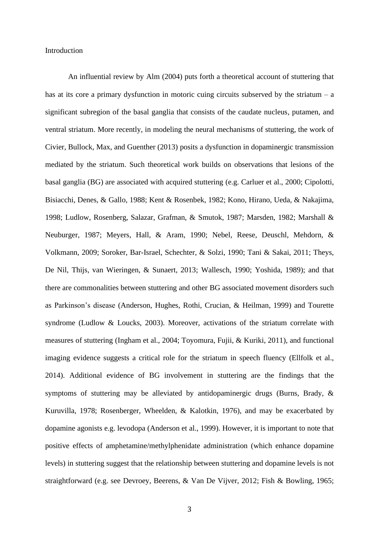#### Introduction

An influential review by [Alm \(2004\)](#page-17-0) puts forth a theoretical account of stuttering that has at its core a primary dysfunction in motoric cuing circuits subserved by the striatum – a significant subregion of the basal ganglia that consists of the caudate nucleus, putamen, and ventral striatum. More recently, in modeling the neural mechanisms of stuttering, the work of [Civier, Bullock, Max, and Guenther \(2013\)](#page-18-0) posits a dysfunction in dopaminergic transmission mediated by the striatum. Such theoretical work builds on observations that lesions of the basal ganglia (BG) are associated with acquired stuttering (e.g. [Carluer et al., 2000;](#page-18-1) [Cipolotti,](#page-18-2)  [Bisiacchi, Denes, & Gallo, 1988;](#page-18-2) [Kent & Rosenbek, 1982;](#page-20-0) [Kono, Hirano, Ueda, & Nakajima,](#page-20-1)  [1998;](#page-20-1) [Ludlow, Rosenberg, Salazar, Grafman, & Smutok, 1987;](#page-20-2) [Marsden, 1982;](#page-20-3) [Marshall &](#page-21-0)  [Neuburger, 1987;](#page-21-0) [Meyers, Hall, & Aram, 1990;](#page-21-1) [Nebel, Reese, Deuschl, Mehdorn, &](#page-21-2)  [Volkmann, 2009;](#page-21-2) [Soroker, Bar-Israel, Schechter, & Solzi, 1990;](#page-22-0) [Tani & Sakai, 2011;](#page-22-1) [Theys,](#page-22-2)  [De Nil, Thijs, van Wieringen, & Sunaert, 2013;](#page-22-2) [Wallesch, 1990;](#page-23-0) [Yoshida, 1989\)](#page-23-1); and that there are commonalities between stuttering and other BG associated movement disorders such as Parkinson's disease [\(Anderson, Hughes, Rothi, Crucian, & Heilman, 1999\)](#page-17-1) and Tourette syndrome [\(Ludlow & Loucks, 2003\)](#page-20-4). Moreover, activations of the striatum correlate with measures of stuttering [\(Ingham et al., 2004;](#page-19-0) [Toyomura, Fujii, & Kuriki, 2011\)](#page-22-3), and functional imaging evidence suggests a critical role for the striatum in speech fluency [\(Ellfolk et al.,](#page-18-3)  [2014\)](#page-18-3). Additional evidence of BG involvement in stuttering are the findings that the symptoms of stuttering may be alleviated by antidopaminergic drugs [\(Burns, Brady, &](#page-17-2)  [Kuruvilla, 1978;](#page-17-2) [Rosenberger, Wheelden, & Kalotkin, 1976\)](#page-22-4), and may be exacerbated by dopamine agonists e.g. levodopa [\(Anderson et al., 1999\)](#page-17-1). However, it is important to note that positive effects of amphetamine/methylphenidate administration (which enhance dopamine levels) in stuttering suggest that the relationship between stuttering and dopamine levels is not straightforward (e.g. see [Devroey, Beerens, & Van De Vijver, 2012;](#page-18-4) [Fish & Bowling, 1965;](#page-19-1)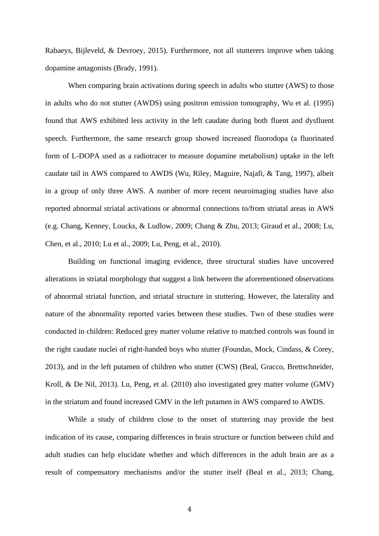[Rabaeys, Bijleveld, & Devroey, 2015\)](#page-21-3). Furthermore, not all stutterers improve when taking dopamine antagonists [\(Brady, 1991\)](#page-17-3).

When comparing brain activations during speech in adults who stutter (AWS) to those in adults who do not stutter (AWDS) using positron emission tomography, Wu et al. (1995) found that AWS exhibited less activity in the left caudate during both fluent and dysfluent speech. Furthermore, the same research group showed increased fluorodopa (a fluorinated form of L-DOPA used as a radiotracer to measure dopamine metabolism) uptake in the left caudate tail in AWS compared to AWDS (Wu, Riley, Maguire, Najafi, & Tang, 1997), albeit in a group of only three AWS. A number of more recent neuroimaging studies have also reported abnormal striatal activations or abnormal connections to/from striatal areas in AWS (e.g. Chang, Kenney, [Loucks, & Ludlow, 2009;](#page-18-5) [Chang & Zhu, 2013;](#page-18-6) [Giraud et al., 2008;](#page-19-2) [Lu,](#page-20-5)  [Chen, et al., 2010;](#page-20-5) [Lu et al., 2009;](#page-20-6) [Lu, Peng, et al., 2010\)](#page-20-7).

Building on functional imaging evidence, three structural studies have uncovered alterations in striatal morphology that suggest a link between the aforementioned observations of abnormal striatal function, and striatal structure in stuttering. However, the laterality and nature of the abnormality reported varies between these studies. Two of these studies were conducted in children: Reduced grey matter volume relative to matched controls was found in the right caudate nuclei of right-handed boys who stutter [\(Foundas, Mock, Cindass, & Corey,](#page-19-3)  [2013\)](#page-19-3), and in the left putamen of children who stutter (CWS) [\(Beal, Gracco, Brettschneider,](#page-17-4)  [Kroll, & De Nil, 2013\)](#page-17-4). [Lu, Peng, et al. \(2010\)](#page-18-7) also investigated grey matter volume (GMV) in the striatum and found increased GMV in the left putamen in AWS compared to AWDS.

While a study of children close to the onset of stuttering may provide the best indication of its cause, comparing differences in brain structure or function between child and adult studies can help elucidate whether and which differences in the adult brain are as a result of compensatory mechanisms and/or the stutter itself [\(Beal et al., 2013;](#page-17-4) [Chang,](#page-18-8)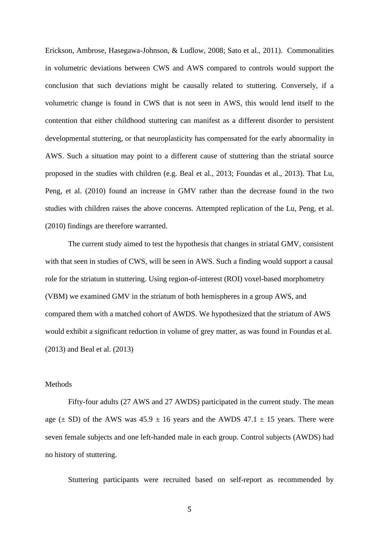[Erickson, Ambrose, Hasegawa-Johnson, & Ludlow, 2008;](#page-18-8) [Sato et al., 2011\)](#page-22-5). Commonalities in volumetric deviations between CWS and AWS compared to controls would support the conclusion that such deviations might be causally related to stuttering. Conversely, if a volumetric change is found in CWS that is not seen in AWS, this would lend itself to the contention that either childhood stuttering can manifest as a different disorder to persistent developmental stuttering, or that neuroplasticity has compensated for the early abnormality in AWS. Such a situation may point to a different cause of stuttering than the striatal source proposed in the studies with children (e.g. [Beal et al., 2013;](#page-17-4) [Foundas et al., 2013\)](#page-19-3). That [Lu,](#page-20-7)  Peng, et al. (2010) found an increase in GMV rather than the decrease found in the two studies with children raises the above concerns. Attempted replication of the [Lu, Peng, et al.](#page-20-7)  (2010) findings are therefore warranted.

The current study aimed to test the hypothesis that changes in striatal GMV, consistent with that seen in studies of CWS, will be seen in AWS. Such a finding would support a causal role for the striatum in stuttering. Using region-of-interest (ROI) voxel-based morphometry (VBM) we examined GMV in the striatum of both hemispheres in a group AWS, and compared them with a matched cohort of AWDS. We hypothesized that the striatum of AWS would exhibit a significant reduction in volume of grey matter, as was found in [Foundas et al.](#page-19-3)  (2013) and [Beal et al. \(2013\)](#page-17-4)

#### **Methods**

Fifty-four adults (27 AWS and 27 AWDS) participated in the current study. The mean age ( $\pm$  SD) of the AWS was 45.9  $\pm$  16 years and the AWDS 47.1  $\pm$  15 years. There were seven female subjects and one left-handed male in each group. Control subjects (AWDS) had no history of stuttering.

Stuttering participants were recruited based on self-report as recommended by

5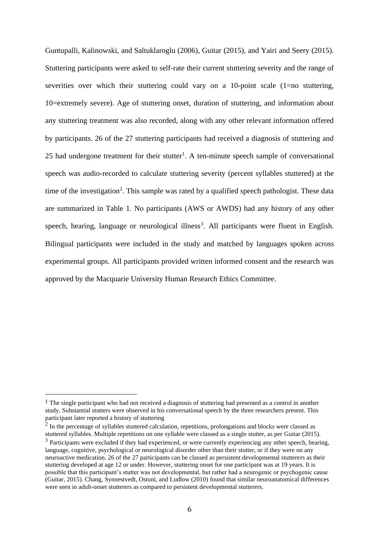[Guntupalli, Kalinowski, and Saltuklaroglu \(2006\),](#page-19-4) [Guitar \(2015\),](#page-19-5) and [Yairi and Seery \(2015\).](#page-23-2) Stuttering participants were asked to self-rate their current stuttering severity and the range of severities over which their stuttering could vary on a 10-point scale (1=no stuttering, 10=extremely severe). Age of stuttering onset, duration of stuttering, and information about any stuttering treatment was also recorded, along with any other relevant information offered by participants. 26 of the 27 stuttering participants had received a diagnosis of stuttering and 25 had undergone treatment for their stutter<sup>1</sup>. A ten-minute speech sample of conversational speech was audio-recorded to calculate stuttering severity (percent syllables stuttered) at the time of the investigation<sup>2</sup>. This sample was rated by a qualified speech pathologist. These data are summarized in Table 1. No participants (AWS or AWDS) had any history of any other speech, hearing, language or neurological illness<sup>3</sup>. All participants were fluent in English. Bilingual participants were included in the study and matched by languages spoken across experimental groups. All participants provided written informed consent and the research was approved by the Macquarie University Human Research Ethics Committee.

<sup>1</sup> The single participant who had not received a diagnosis of stuttering had presented as a control in another study. Substantial stutters were observed in his conversational speech by the three researchers present. This participant later reported a history of stuttering

 $2$  In the percentage of syllables stuttered calculation, repetitions, prolongations and blocks were classed as stuttered syllables. Multiple repetitions on one syllable were classed as a single stutter, as per [Guitar \(2015\).](#page-19-5)

 $3$  Participants were excluded if they had experienced, or were currently experiencing any other speech, hearing, language, cognitive, psychological or neurological disorder other than their stutter, or if they were on any neuroactive medication. 26 of the 27 participants can be classed as persistent developmental stutterers as their stuttering developed at age 12 or under. However, stuttering onset for one participant was at 19 years. It is possible that this participant's stutter was not developmental, but rather had a neurogenic or psychogenic cause [\(Guitar, 2015\)](#page-19-5). [Chang, Synnestvedt, Ostuni, and Ludlow \(2010\)](#page-18-9) found that similar neuroanatomical differences were seen in adult-onset stutterers as compared to persistent developmental stutterers.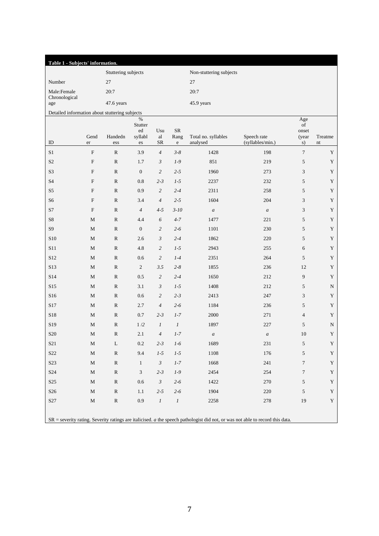| Table 1 - Subjects' information.               |             |                     |                       |                      |                 |                                 |                                 |                    |               |  |
|------------------------------------------------|-------------|---------------------|-----------------------|----------------------|-----------------|---------------------------------|---------------------------------|--------------------|---------------|--|
|                                                |             | Stuttering subjects |                       |                      |                 | Non-stuttering subjects         |                                 |                    |               |  |
| Number                                         |             | $27\,$              |                       |                      |                 | 27                              |                                 |                    |               |  |
| Male:Female<br>Chronological                   |             | 20:7                |                       |                      |                 | 20:7                            |                                 |                    |               |  |
| age                                            | 47.6 years  |                     |                       |                      |                 | 45.9 years                      |                                 |                    |               |  |
| Detailed information about stuttering subjects |             |                     |                       |                      |                 |                                 |                                 |                    |               |  |
|                                                |             |                     | $\%$<br>Stutter<br>ed | Usu                  | ${\sf SR}$      |                                 |                                 | Age<br>of<br>onset |               |  |
| ID                                             | Gend<br>er  | Handedn<br>ess      | syllabl<br>es         | al<br>SR             | Rang<br>$\rm e$ | Total no. syllables<br>analysed | Speech rate<br>(syllables/min.) | (year<br>s)        | Treatme<br>nt |  |
| $\rm S1$                                       | $\mathbf F$ | ${\bf R}$           | 3.9                   | $\overline{4}$       | $3 - 8$         | 1428                            | 198                             | $\boldsymbol{7}$   | $\mathbf Y$   |  |
| $\ensuremath{\mathrm{S2}}$                     | $\mathbf F$ | ${\bf R}$           | 1.7                   | $\mathfrak{Z}$       | $1-9$           | 851                             | 219                             | 5                  | $\mathbf Y$   |  |
| S <sub>3</sub>                                 | $\mathbf F$ | ${\mathbb R}$       | $\boldsymbol{0}$      | $\overline{c}$       | $2 - 5$         | 1960                            | 273                             | $\mathfrak{Z}$     | $\mathbf Y$   |  |
| <b>S4</b>                                      | $\mathbf F$ | ${\bf R}$           | 0.8                   | $2 - 3$              | $1-5$           | 2237                            | 232                             | 5                  | $\mathbf Y$   |  |
| S5                                             | $\mathbf F$ | ${\bf R}$           | 0.9                   | $\overline{c}$       | $2 - 4$         | 2311                            | 258                             | 5                  | $\mathbf Y$   |  |
| S <sub>6</sub>                                 | $\mathbf F$ | ${\bf R}$           | 3.4                   | $\overline{4}$       | $2 - 5$         | 1604                            | 204                             | $\mathfrak{Z}$     | $\mathbf Y$   |  |
| S7                                             | $\mathbf F$ | ${\mathbb R}$       | $\overline{4}$        | $4 - 5$              | $3 - 10$        | $\boldsymbol{a}$                | $\boldsymbol{a}$                | $\mathfrak{Z}$     | $\mathbf Y$   |  |
| ${\rm S}8$                                     | $\mathbf M$ | ${\bf R}$           | 4.4                   | 6                    | $4 - 7$         | 1477                            | 221                             | 5                  | $\mathbf Y$   |  |
| <b>S9</b>                                      | $\mathbf M$ | ${\bf R}$           | $\boldsymbol{0}$      | $\overline{c}$       | $2 - 6$         | 1101                            | 230                             | 5                  | $\mathbf Y$   |  |
| <b>S10</b>                                     | $\mathbf M$ | ${\bf R}$           | 2.6                   | $\mathfrak{Z}$       | $2 - 4$         | 1862                            | 220                             | 5                  | $\mathbf Y$   |  |
| S11                                            | $\mathbf M$ | ${\mathbb R}$       | 4.8                   | $\overline{c}$       | $1-5$           | 2943                            | 255                             | 6                  | $\mathbf Y$   |  |
| S12                                            | $\mathbf M$ | ${\bf R}$           | 0.6                   | $\overline{c}$       | $1-4$           | 2351                            | 264                             | 5                  | $\mathbf Y$   |  |
| S13                                            | $\mathbf M$ | ${\bf R}$           | $\sqrt{2}$            | 3.5                  | $2 - 8$         | 1855                            | 236                             | 12                 | $\mathbf Y$   |  |
| S14                                            | $\mathbf M$ | ${\bf R}$           | 0.5                   | $\overline{c}$       | $2 - 4$         | 1650                            | 212                             | 9                  | $\mathbf Y$   |  |
| S15                                            | $\mathbf M$ | ${\mathbb R}$       | 3.1                   | $\mathfrak{Z}$       | $1-5$           | 1408                            | 212                             | 5                  | ${\bf N}$     |  |
| S16                                            | $\mathbf M$ | ${\bf R}$           | 0.6                   | $\overline{c}$       | $2 - 3$         | 2413                            | 247                             | $\mathfrak{Z}$     | $\mathbf Y$   |  |
| S17                                            | $\mathbf M$ | ${\bf R}$           | 2.7                   | $\overline{4}$       | $2 - 6$         | 1184                            | 236                             | 5                  | $\mathbf Y$   |  |
| S18                                            | $\mathbf M$ | ${\bf R}$           | 0.7                   | $2 - 3$              | $1 - 7$         | 2000                            | 271                             | $\overline{4}$     | $\mathbf Y$   |  |
| S19                                            | $\mathbf M$ | ${\bf R}$           | 1/2                   | $\mathfrak{1}$       | $\mathfrak{1}$  | 1897                            | 227                             | $\sqrt{5}$         | ${\bf N}$     |  |
| S <sub>20</sub>                                | $\mathbf M$ | ${\bf R}$           | 2.1                   | $\overline{4}$       | $1 - 7$         | $\boldsymbol{a}$                | $\boldsymbol{a}$                | $10\,$             | $\mathbf Y$   |  |
| S <sub>21</sub>                                | $\mathbf M$ | L                   | 0.2                   | $2 - 3$              | $1-6$           | 1689                            | 231                             | 5                  | $\mathbf Y$   |  |
| S22                                            | $\mathbf M$ | ${\bf R}$           | 9.4                   | $1 - 5$              | $1-5$           | 1108                            | 176                             | 5                  | $\mathbf Y$   |  |
| S23                                            | $\mathbf M$ | ${\bf R}$           | $\mathbf{1}$          | $\boldsymbol{\beta}$ | $1 - 7$         | 1668                            | 241                             | $\boldsymbol{7}$   | $\mathbf Y$   |  |
| S <sub>24</sub>                                | $\mathbf M$ | ${\bf R}$           | 3                     | $2 - 3$              | $1-9$           | 2454                            | 254                             | $\tau$             | $\mathbf Y$   |  |
| S <sub>25</sub>                                | M           | ${\bf R}$           | $0.6\,$               | $\mathfrak{Z}$       | $2 - 6$         | 1422                            | 270                             | 5                  | $\mathbf Y$   |  |
| S <sub>26</sub>                                | M           | ${\bf R}$           | 1.1                   | $2 - 5$              | $2 - 6$         | 1904                            | 220                             | 5                  | $\mathbf Y$   |  |
| S27                                            | $\mathbf M$ | ${\bf R}$           | 0.9                   | $\cal I$             | $\cal I$        | 2258                            | 278                             | 19                 | $\mathbf Y$   |  |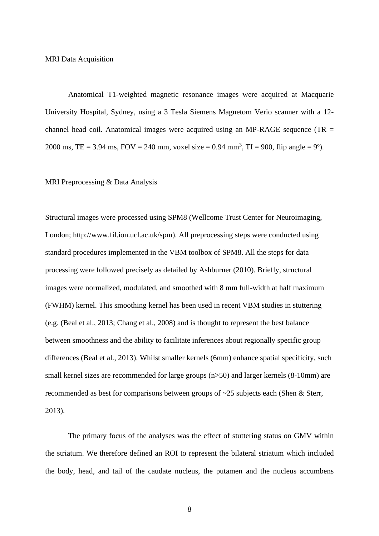MRI Data Acquisition

Anatomical T1-weighted magnetic resonance images were acquired at Macquarie University Hospital, Sydney, using a 3 Tesla Siemens Magnetom Verio scanner with a 12 channel head coil. Anatomical images were acquired using an MP-RAGE sequence (TR = 2000 ms, TE = 3.94 ms, FOV = 240 mm, voxel size = 0.94 mm<sup>3</sup>, TI = 900, flip angle = 9°).

## MRI Preprocessing & Data Analysis

Structural images were processed using SPM8 (Wellcome Trust Center for Neuroimaging, London; http://www.fil.ion.ucl.ac.uk/spm). All preprocessing steps were conducted using standard procedures implemented in the VBM toolbox of SPM8. All the steps for data processing were followed precisely as detailed by [Ashburner \(2010\).](#page-17-5) Briefly, structural images were normalized, modulated, and smoothed with 8 mm full-width at half maximum (FWHM) kernel. This smoothing kernel has been used in recent VBM studies in stuttering (e.g. [\(Beal et al., 2013;](#page-17-4) [Chang et al., 2008\)](#page-18-8) and is thought to represent the best balance between smoothness and the ability to facilitate inferences about regionally specific group differences [\(Beal et al., 2013\)](#page-17-4). Whilst smaller kernels (6mm) enhance spatial specificity, such small kernel sizes are recommended for large groups (n>50) and larger kernels (8-10mm) are recommended as best for comparisons between groups of ~25 subjects each [\(Shen & Sterr,](#page-22-6)  [2013\)](#page-22-6).

The primary focus of the analyses was the effect of stuttering status on GMV within the striatum. We therefore defined an ROI to represent the bilateral striatum which included the body, head, and tail of the caudate nucleus, the putamen and the nucleus accumbens

8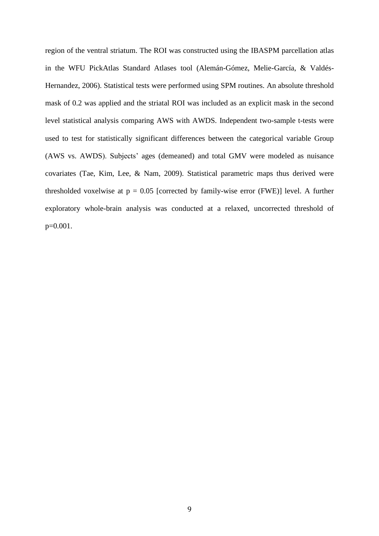region of the ventral striatum. The ROI was constructed using the IBASPM parcellation atlas in the WFU PickAtlas Standard Atlases tool [\(Alemán-Gómez, Melie-García, & Valdés-](#page-17-6)[Hernandez, 2006\)](#page-17-6). Statistical tests were performed using SPM routines. An absolute threshold mask of 0.2 was applied and the striatal ROI was included as an explicit mask in the second level statistical analysis comparing AWS with AWDS. Independent two-sample t-tests were used to test for statistically significant differences between the categorical variable Group (AWS vs. AWDS). Subjects' ages (demeaned) and total GMV were modeled as nuisance covariates [\(Tae, Kim, Lee, & Nam, 2009\)](#page-22-7). Statistical parametric maps thus derived were thresholded voxelwise at  $p = 0.05$  [corrected by family-wise error (FWE)] level. A further exploratory whole-brain analysis was conducted at a relaxed, uncorrected threshold of p=0.001.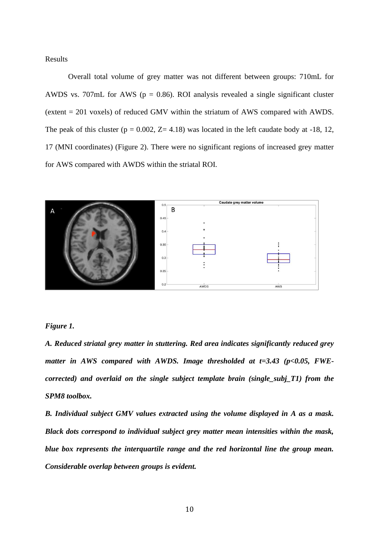Results

Overall total volume of grey matter was not different between groups: 710mL for AWDS vs. 707mL for AWS ( $p = 0.86$ ). ROI analysis revealed a single significant cluster (extent = 201 voxels) of reduced GMV within the striatum of AWS compared with AWDS. The peak of this cluster ( $p = 0.002$ ,  $Z = 4.18$ ) was located in the left caudate body at -18, 12, 17 (MNI coordinates) (Figure 2). There were no significant regions of increased grey matter for AWS compared with AWDS within the striatal ROI.



### *Figure 1.*

*A. Reduced striatal grey matter in stuttering. Red area indicates significantly reduced grey matter in AWS compared with AWDS. Image thresholded at t=3.43 (p<0.05, FWEcorrected) and overlaid on the single subject template brain (single\_subj\_T1) from the SPM8 toolbox.*

*B. Individual subject GMV values extracted using the volume displayed in A as a mask. Black dots correspond to individual subject grey matter mean intensities within the mask, blue box represents the interquartile range and the red horizontal line the group mean. Considerable overlap between groups is evident.*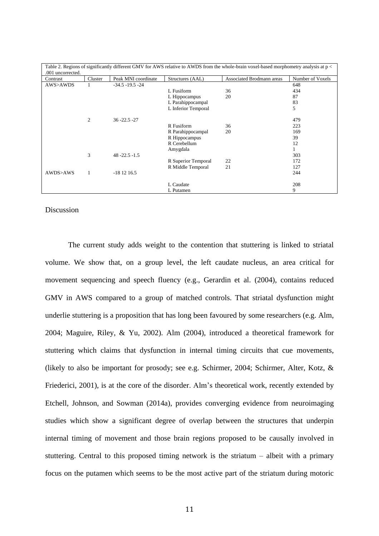| .001 uncorrected. |              |                     |                     | Table 2. Regions of significantly different GMV for AWS relative to AWDS from the whole-brain voxel-based morphometry analysis at p < |                  |
|-------------------|--------------|---------------------|---------------------|---------------------------------------------------------------------------------------------------------------------------------------|------------------|
| Contrast          | Cluster      | Peak MNI coordinate | Structures (AAL)    | Associated Brodmann areas                                                                                                             | Number of Voxels |
| AWS>AWDS          |              | $-34.5 - 19.5 - 24$ |                     |                                                                                                                                       | 648              |
|                   |              |                     | L Fusiform          | 36                                                                                                                                    | 434              |
|                   |              |                     | L Hippocampus       | 20                                                                                                                                    | 87               |
|                   |              |                     | L Parahippocampal   |                                                                                                                                       | 83               |
|                   |              |                     | L Inferior Temporal |                                                                                                                                       | 5                |
|                   | 2            | $36 - 22.5 - 27$    |                     |                                                                                                                                       | 479              |
|                   |              |                     | R Fusiform          | 36                                                                                                                                    | 223              |
|                   |              |                     | R Parahippocampal   | 20                                                                                                                                    | 169              |
|                   |              |                     | R Hippocampus       |                                                                                                                                       | 39               |
|                   |              |                     | R Cerebellum        |                                                                                                                                       | 12               |
|                   |              |                     | Amygdala            |                                                                                                                                       |                  |
|                   | 3            | $48 - 22.5 - 1.5$   |                     |                                                                                                                                       | 303              |
|                   |              |                     | R Superior Temporal | 22                                                                                                                                    | 172              |
|                   |              |                     | R Middle Temporal   | 21                                                                                                                                    | 127              |
| AWDS>AWS          | $\mathbf{1}$ | $-181216.5$         |                     |                                                                                                                                       | 244              |
|                   |              |                     | L Caudate           |                                                                                                                                       | 208              |
|                   |              |                     | L Putamen           |                                                                                                                                       | 9                |

Discussion

The current study adds weight to the contention that stuttering is linked to striatal volume. We show that, on a group level, the left caudate nucleus, an area critical for movement sequencing and speech fluency (e.g., [Gerardin et al. \(2004\),](#page-19-6) contains reduced GMV in AWS compared to a group of matched controls. That striatal dysfunction might underlie stuttering is a proposition that has long been favoured by some researchers (e.g. [Alm,](#page-17-0)  [2004;](#page-17-0) [Maguire, Riley, & Yu, 2002\)](#page-20-8). [Alm \(2004\),](#page-17-0) introduced a theoretical framework for stuttering which claims that dysfunction in internal timing circuits that cue movements, (likely to also be important for prosody; see e.g. [Schirmer, 2004;](#page-22-8) [Schirmer, Alter, Kotz, &](#page-22-9)  [Friederici, 2001\)](#page-22-9), is at the core of the disorder. Alm's theoretical work, recently extended by [Etchell, Johnson, and Sowman \(2014a\),](#page-18-7) provides converging evidence from neuroimaging studies which show a significant degree of overlap between the structures that underpin internal timing of movement and those brain regions proposed to be causally involved in stuttering. Central to this proposed timing network is the striatum – albeit with a primary focus on the putamen which seems to be the most active part of the striatum during motoric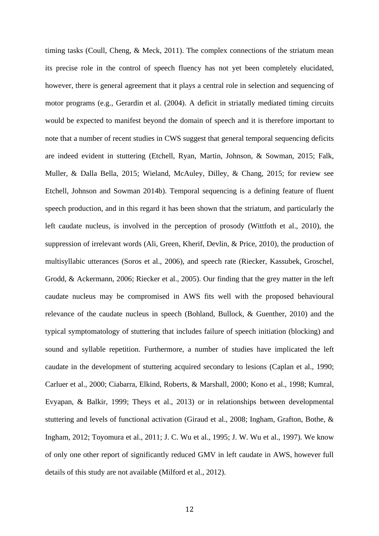timing tasks [\(Coull, Cheng, & Meck, 2011\)](#page-18-10). The complex connections of the striatum mean its precise role in the control of speech fluency has not yet been completely elucidated, however, there is general agreement that it plays a central role in selection and sequencing of motor programs (e.g., [Gerardin et al. \(2004\).](#page-19-6) A deficit in striatally mediated timing circuits would be expected to manifest beyond the domain of speech and it is therefore important to note that a number of recent studies in CWS suggest that general temporal sequencing deficits are indeed evident in stuttering [\(Etchell, Ryan, Martin, Johnson, & Sowman, 2015;](#page-19-7) [Falk,](#page-19-8)  [Muller, & Dalla Bella, 2015;](#page-19-8) [Wieland, McAuley, Dilley, & Chang, 2015; for review see](#page-23-3)  [Etchell, Johnson and Sowman 2014b\)](#page-23-3). Temporal sequencing is a defining feature of fluent speech production, and in this regard it has been shown that the striatum, and particularly the left caudate nucleus, is involved in the perception of prosody [\(Wittfoth et al., 2010\)](#page-23-4), the suppression of irrelevant words [\(Ali, Green, Kherif, Devlin, & Price, 2010\)](#page-17-7), the production of multisyllabic utterances [\(Soros et al., 2006\)](#page-22-10), and speech rate [\(Riecker, Kassubek, Groschel,](#page-21-4)  [Grodd, & Ackermann, 2006;](#page-21-4) [Riecker et al., 2005\)](#page-21-5). Our finding that the grey matter in the left caudate nucleus may be compromised in AWS fits well with the proposed behavioural relevance of the caudate nucleus in speech [\(Bohland, Bullock, & Guenther, 2010\)](#page-17-8) and the typical symptomatology of stuttering that includes failure of speech initiation (blocking) and sound and syllable repetition. Furthermore, a number of studies have implicated the left caudate in the development of stuttering acquired secondary to lesions [\(Caplan et al., 1990;](#page-17-9) [Carluer et al., 2000;](#page-18-1) [Ciabarra, Elkind, Roberts, & Marshall, 2000;](#page-18-11) [Kono et al., 1998;](#page-20-1) [Kumral,](#page-20-9)  [Evyapan, & Balkir, 1999;](#page-20-9) [Theys et al., 2013\)](#page-22-2) or in relationships between developmental stuttering and levels of functional activation [\(Giraud et al., 2008;](#page-19-2) [Ingham, Grafton, Bothe, &](#page-20-10)  [Ingham, 2012;](#page-20-10) [Toyomura et al., 2011;](#page-22-3) [J. C. Wu et al., 1995;](#page-23-5) [J. W. Wu et al., 1997\)](#page-23-6). We know of only one other report of significantly reduced GMV in left caudate in AWS, however full details of this study are not available [\(Milford et al., 2012\)](#page-21-6).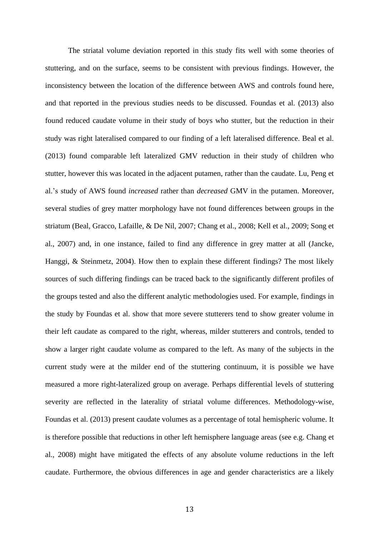The striatal volume deviation reported in this study fits well with some theories of stuttering, and on the surface, seems to be consistent with previous findings. However, the inconsistency between the location of the difference between AWS and controls found here, and that reported in the previous studies needs to be discussed. [Foundas et al. \(2013\)](#page-18-5) also found reduced caudate volume in their study of boys who stutter, but the reduction in their study was right lateralised compared to our finding of a left lateralised difference. Beal et al. (2013) found comparable left lateralized GMV reduction in their study of children who stutter, however this was located in the adjacent putamen, rather than the caudate. Lu, Peng et al.'s study of AWS found *increased* rather than *decreased* GMV in the putamen. Moreover, several studies of grey matter morphology have not found differences between groups in the striatum [\(Beal, Gracco, Lafaille, & De Nil, 2007;](#page-17-10) [Chang et al., 2008;](#page-18-8) [Kell et al., 2009;](#page-20-11) [Song et](#page-22-11)  [al., 2007\)](#page-22-11) and, in one instance, failed to find any difference in grey matter at all [\(Jancke,](#page-20-12)  Hanggi, & [Steinmetz, 2004\)](#page-20-12). How then to explain these different findings? The most likely sources of such differing findings can be traced back to the significantly different profiles of the groups tested and also the different analytic methodologies used. For example, findings in the study by Foundas et al. show that more severe stutterers tend to show greater volume in their left caudate as compared to the right, whereas, milder stutterers and controls, tended to show a larger right caudate volume as compared to the left. As many of the subjects in the current study were at the milder end of the stuttering continuum, it is possible we have measured a more right-lateralized group on average. Perhaps differential levels of stuttering severity are reflected in the laterality of striatal volume differences. Methodology-wise, [Foundas et al. \(2013\)](#page-19-3) present caudate volumes as a percentage of total hemispheric volume. It is therefore possible that reductions in other left hemisphere language areas [\(see e.g. Chang et](#page-18-8)  [al., 2008\)](#page-18-8) might have mitigated the effects of any absolute volume reductions in the left caudate. Furthermore, the obvious differences in age and gender characteristics are a likely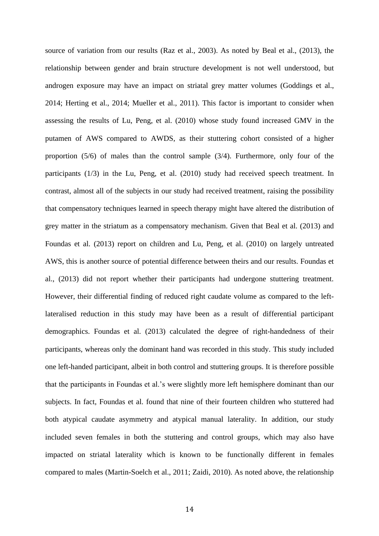source of variation from our results [\(Raz et al., 2003\)](#page-21-7). As noted by Beal et al., (2013), the relationship between gender and brain structure development is not well understood, but androgen exposure may have an impact on striatal grey matter volumes [\(Goddings et al.,](#page-19-9)  [2014;](#page-19-9) [Herting et al., 2014;](#page-19-10) [Mueller et al.,](#page-21-8) 2011). This factor is important to consider when assessing the results of [Lu, Peng, et al. \(2010\)](#page-20-7) whose study found increased GMV in the putamen of AWS compared to AWDS, as their stuttering cohort consisted of a higher proportion (5/6) of males than the control sample (3/4). Furthermore, only four of the participants (1/3) in the [Lu, Peng, et al. \(2010\)](#page-20-7) study had received speech treatment. In contrast, almost all of the subjects in our study had received treatment, raising the possibility that compensatory techniques learned in speech therapy might have altered the distribution of grey matter in the striatum as a compensatory mechanism. Given that [Beal et al. \(2013\)](#page-17-4) and [Foundas et al. \(2013\)](#page-19-3) report on children and [Lu, Peng, et al. \(2010\)](#page-20-7) on largely untreated AWS, this is another source of potential difference between theirs and our results. Foundas et al., (2013) did not report whether their participants had undergone stuttering treatment. However, their differential finding of reduced right caudate volume as compared to the leftlateralised reduction in this study may have been as a result of differential participant demographics. [Foundas et al. \(2013\)](#page-19-3) calculated the degree of right-handedness of their participants, whereas only the dominant hand was recorded in this study. This study included one left-handed participant, albeit in both control and stuttering groups. It is therefore possible that the participants in Foundas et al.'s were slightly more left hemisphere dominant than our subjects. In fact, Foundas et al. found that nine of their fourteen children who stuttered had both atypical caudate asymmetry and atypical manual laterality. In addition, our study included seven females in both the stuttering and control groups, which may also have impacted on striatal laterality which is known to be functionally different in females compared to males [\(Martin-Soelch et al., 2011;](#page-21-9) [Zaidi, 2010\)](#page-23-7). As noted above, the relationship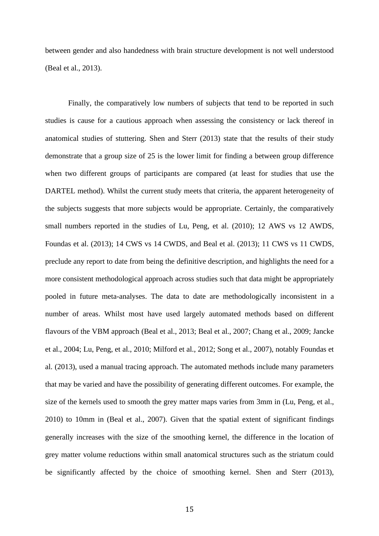between gender and also handedness with brain structure development is not well understood (Beal et al., 2013).

Finally, the comparatively low numbers of subjects that tend to be reported in such studies is cause for a cautious approach when assessing the consistency or lack thereof in anatomical studies of stuttering. [Shen and Sterr \(2013\)](#page-22-6) state that the results of their study demonstrate that a group size of 25 is the lower limit for finding a between group difference when two different groups of participants are compared (at least for studies that use the DARTEL method). Whilst the current study meets that criteria, the apparent heterogeneity of the subjects suggests that more subjects would be appropriate. Certainly, the comparatively small numbers reported in the studies of [Lu, Peng, et al. \(2010\);](#page-20-7) 12 AWS vs 12 AWDS, [Foundas et al. \(2013\);](#page-19-3) 14 CWS vs 14 CWDS, and [Beal et al. \(2013\);](#page-17-4) 11 CWS vs 11 CWDS, preclude any report to date from being the definitive description, and highlights the need for a more consistent methodological approach across studies such that data might be appropriately pooled in future meta-analyses. The data to date are methodologically inconsistent in a number of areas. Whilst most have used largely automated methods based on different flavours of the VBM approach [\(Beal et al., 2013;](#page-17-4) [Beal et al., 2007;](#page-17-10) [Chang et al., 2009;](#page-18-5) [Jancke](#page-20-12)  [et al., 2004;](#page-20-12) [Lu, Peng, et al., 2010;](#page-20-7) [Milford et al., 2012;](#page-21-6) [Song et al., 2007\)](#page-22-11), notably [Foundas et](#page-19-3)  al. (2013), used a manual tracing approach. The automated methods include many parameters that may be varied and have the possibility of generating different outcomes. For example, the size of the kernels used to smooth the grey matter maps varies from 3mm in [\(Lu, Peng, et al.,](#page-20-7)  [2010\)](#page-20-7) to 10mm in [\(Beal et al., 2007\)](#page-17-10). Given that the spatial extent of significant findings generally increases with the size of the smoothing kernel, the difference in the location of grey matter volume reductions within small anatomical structures such as the striatum could be significantly affected by the choice of smoothing kernel. [Shen and Sterr \(2013\),](#page-22-6)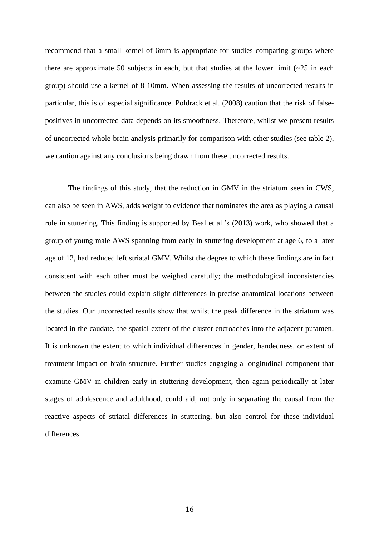recommend that a small kernel of 6mm is appropriate for studies comparing groups where there are approximate 50 subjects in each, but that studies at the lower limit  $(\sim 25$  in each group) should use a kernel of 8-10mm. When assessing the results of uncorrected results in particular, this is of especial significance. [Poldrack et al. \(2008\)](#page-21-10) caution that the risk of falsepositives in uncorrected data depends on its smoothness. Therefore, whilst we present results of uncorrected whole-brain analysis primarily for comparison with other studies (see table 2), we caution against any conclusions being drawn from these uncorrected results.

The findings of this study, that the reduction in GMV in the striatum seen in CWS, can also be seen in AWS, adds weight to evidence that nominates the area as playing a causal role in stuttering. This finding is supported by Beal et al.'s (2013) work, who showed that a group of young male AWS spanning from early in stuttering development at age 6, to a later age of 12, had reduced left striatal GMV. Whilst the degree to which these findings are in fact consistent with each other must be weighed carefully; the methodological inconsistencies between the studies could explain slight differences in precise anatomical locations between the studies. Our uncorrected results show that whilst the peak difference in the striatum was located in the caudate, the spatial extent of the cluster encroaches into the adjacent putamen. It is unknown the extent to which individual differences in gender, handedness, or extent of treatment impact on brain structure. Further studies engaging a longitudinal component that examine GMV in children early in stuttering development, then again periodically at later stages of adolescence and adulthood, could aid, not only in separating the causal from the reactive aspects of striatal differences in stuttering, but also control for these individual differences.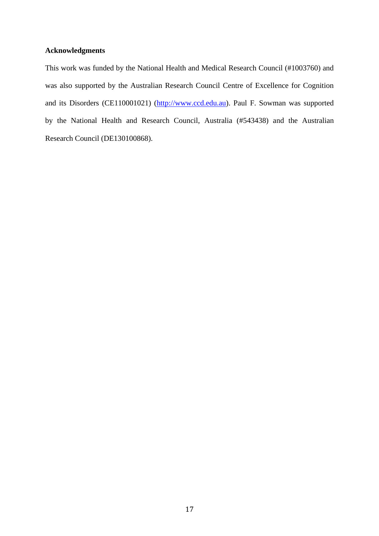## **Acknowledgments**

This work was funded by the National Health and Medical Research Council (#1003760) and was also supported by the Australian Research Council Centre of Excellence for Cognition and its Disorders (CE110001021) [\(http://www.ccd.edu.au\)](http://www.ccd.edu.au/). Paul F. Sowman was supported by the National Health and Research Council, Australia (#543438) and the Australian Research Council (DE130100868).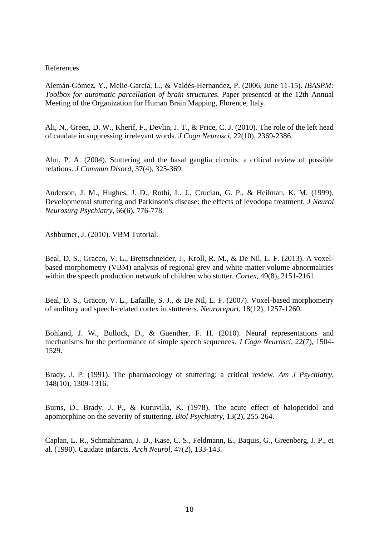## References

<span id="page-17-6"></span>Alemán-Gómez, Y., Melie-García, L., & Valdés-Hernandez, P. (2006, June 11-15). *IBASPM: Toolbox for automatic parcellation of brain structures.* Paper presented at the 12th Annual Meeting of the Organization for Human Brain Mapping, Florence, Italy.

<span id="page-17-7"></span>Ali, N., Green, D. W., Kherif, F., Devlin, J. T., & Price, C. J. (2010). The role of the left head of caudate in suppressing irrelevant words. *J Cogn Neurosci,* 22(10), 2369-2386.

<span id="page-17-0"></span>Alm, P. A. (2004). Stuttering and the basal ganglia circuits: a critical review of possible relations. *J Commun Disord,* 37(4), 325-369.

<span id="page-17-1"></span>Anderson, J. M., Hughes, J. D., Rothi, L. J., Crucian, G. P., & Heilman, K. M. (1999). Developmental stuttering and Parkinson's disease: the effects of levodopa treatment. *J Neurol Neurosurg Psychiatry,* 66(6), 776-778.

<span id="page-17-5"></span>Ashburner, J. (2010). VBM Tutorial.

<span id="page-17-4"></span>Beal, D. S., Gracco, V. L., Brettschneider, J., Kroll, R. M., & De Nil, L. F. (2013). A voxelbased morphometry (VBM) analysis of regional grey and white matter volume abnormalities within the speech production network of children who stutter. *Cortex,* 49(8), 2151-2161.

<span id="page-17-10"></span>Beal, D. S., Gracco, V. L., Lafaille, S. J., & De Nil, L. F. (2007). Voxel-based morphometry of auditory and speech-related cortex in stutterers. *Neuroreport,* 18(12), 1257-1260.

<span id="page-17-8"></span>Bohland, J. W., Bullock, D., & Guenther, F. H. (2010). Neural representations and mechanisms for the performance of simple speech sequences. *J Cogn Neurosci,* 22(7), 1504- 1529.

<span id="page-17-3"></span>Brady, J. P. (1991). The pharmacology of stuttering: a critical review. *Am J Psychiatry,*  148(10), 1309-1316.

<span id="page-17-2"></span>Burns, D., Brady, J. P., & Kuruvilla, K. (1978). The acute effect of haloperidol and apomorphine on the severity of stuttering. *Biol Psychiatry,* 13(2), 255-264.

<span id="page-17-9"></span>Caplan, L. R., Schmahmann, J. D., Kase, C. S., Feldmann, E., Baquis, G., Greenberg, J. P., et al. (1990). Caudate infarcts. *Arch Neurol,* 47(2), 133-143.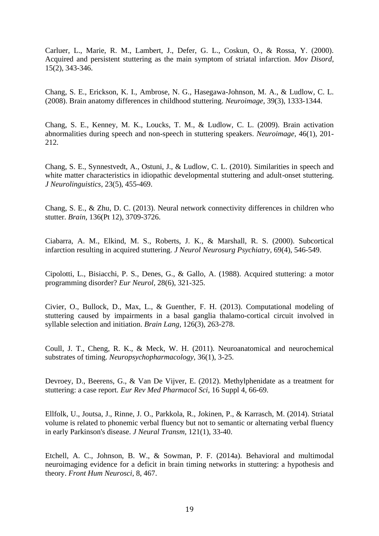<span id="page-18-1"></span>Carluer, L., Marie, R. M., Lambert, J., Defer, G. L., Coskun, O., & Rossa, Y. (2000). Acquired and persistent stuttering as the main symptom of striatal infarction. *Mov Disord,*  15(2), 343-346.

<span id="page-18-8"></span>Chang, S. E., Erickson, K. I., Ambrose, N. G., Hasegawa-Johnson, M. A., & Ludlow, C. L. (2008). Brain anatomy differences in childhood stuttering. *Neuroimage,* 39(3), 1333-1344.

<span id="page-18-5"></span>Chang, S. E., Kenney, M. K., Loucks, T. M., & Ludlow, C. L. (2009). Brain activation abnormalities during speech and non-speech in stuttering speakers. *Neuroimage,* 46(1), 201- 212.

<span id="page-18-9"></span>Chang, S. E., Synnestvedt, A., Ostuni, J., & Ludlow, C. L. (2010). Similarities in speech and white matter characteristics in idiopathic developmental stuttering and adult-onset stuttering. *J Neurolinguistics,* 23(5), 455-469.

<span id="page-18-6"></span>Chang, S. E., & Zhu, D. C. (2013). Neural network connectivity differences in children who stutter. *Brain,* 136(Pt 12), 3709-3726.

<span id="page-18-11"></span>Ciabarra, A. M., Elkind, M. S., Roberts, J. K., & Marshall, R. S. (2000). Subcortical infarction resulting in acquired stuttering. *J Neurol Neurosurg Psychiatry,* 69(4), 546-549.

<span id="page-18-2"></span>Cipolotti, L., Bisiacchi, P. S., Denes, G., & Gallo, A. (1988). Acquired stuttering: a motor programming disorder? *Eur Neurol,* 28(6), 321-325.

<span id="page-18-0"></span>Civier, O., Bullock, D., Max, L., & Guenther, F. H. (2013). Computational modeling of stuttering caused by impairments in a basal ganglia thalamo-cortical circuit involved in syllable selection and initiation. *Brain Lang,* 126(3), 263-278.

<span id="page-18-10"></span>Coull, J. T., Cheng, R. K., & Meck, W. H. (2011). Neuroanatomical and neurochemical substrates of timing. *Neuropsychopharmacology,* 36(1), 3-25.

<span id="page-18-4"></span>Devroey, D., Beerens, G., & Van De Vijver, E. (2012). Methylphenidate as a treatment for stuttering: a case report. *Eur Rev Med Pharmacol Sci,* 16 Suppl 4, 66-69.

<span id="page-18-3"></span>Ellfolk, U., Joutsa, J., Rinne, J. O., Parkkola, R., Jokinen, P., & Karrasch, M. (2014). Striatal volume is related to phonemic verbal fluency but not to semantic or alternating verbal fluency in early Parkinson's disease. *J Neural Transm,* 121(1), 33-40.

<span id="page-18-7"></span>Etchell, A. C., Johnson, B. W., & Sowman, P. F. (2014a). Behavioral and multimodal neuroimaging evidence for a deficit in brain timing networks in stuttering: a hypothesis and theory. *Front Hum Neurosci,* 8, 467.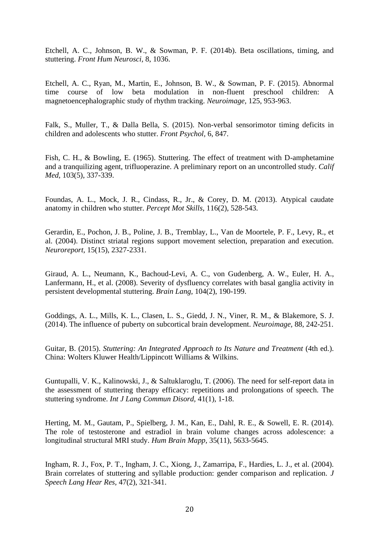Etchell, A. C., Johnson, B. W., & Sowman, P. F. (2014b). Beta oscillations, timing, and stuttering. *Front Hum Neurosci,* 8, 1036.

<span id="page-19-7"></span>Etchell, A. C., Ryan, M., Martin, E., Johnson, B. W., & Sowman, P. F. (2015). Abnormal time course of low beta modulation in non-fluent preschool children: A magnetoencephalographic study of rhythm tracking. *Neuroimage,* 125, 953-963.

<span id="page-19-8"></span>Falk, S., Muller, T., & Dalla Bella, S. (2015). Non-verbal sensorimotor timing deficits in children and adolescents who stutter. *Front Psychol,* 6, 847.

<span id="page-19-1"></span>Fish, C. H., & Bowling, E. (1965). Stuttering. The effect of treatment with D-amphetamine and a tranquilizing agent, trifluoperazine. A preliminary report on an uncontrolled study. *Calif Med,* 103(5), 337-339.

<span id="page-19-3"></span>Foundas, A. L., Mock, J. R., Cindass, R., Jr., & Corey, D. M. (2013). Atypical caudate anatomy in children who stutter. *Percept Mot Skills,* 116(2), 528-543.

<span id="page-19-6"></span>Gerardin, E., Pochon, J. B., Poline, J. B., Tremblay, L., Van de Moortele, P. F., Levy, R., et al. (2004). Distinct striatal regions support movement selection, preparation and execution. *Neuroreport,* 15(15), 2327-2331.

<span id="page-19-2"></span>Giraud, A. L., Neumann, K., Bachoud-Levi, A. C., von Gudenberg, A. W., Euler, H. A., Lanfermann, H., et al. (2008). Severity of dysfluency correlates with basal ganglia activity in persistent developmental stuttering. *Brain Lang,* 104(2), 190-199.

<span id="page-19-9"></span>Goddings, A. L., Mills, K. L., Clasen, L. S., Giedd, J. N., Viner, R. M., & Blakemore, S. J. (2014). The influence of puberty on subcortical brain development. *Neuroimage,* 88, 242-251.

<span id="page-19-5"></span>Guitar, B. (2015). *Stuttering: An Integrated Approach to Its Nature and Treatment* (4th ed.). China: Wolters Kluwer Health/Lippincott Williams & Wilkins.

<span id="page-19-4"></span>Guntupalli, V. K., Kalinowski, J., & Saltuklaroglu, T. (2006). The need for self-report data in the assessment of stuttering therapy efficacy: repetitions and prolongations of speech. The stuttering syndrome. *Int J Lang Commun Disord,* 41(1), 1-18.

<span id="page-19-10"></span>Herting, M. M., Gautam, P., Spielberg, J. M., Kan, E., Dahl, R. E., & Sowell, E. R. (2014). The role of testosterone and estradiol in brain volume changes across adolescence: a longitudinal structural MRI study. *Hum Brain Mapp,* 35(11), 5633-5645.

<span id="page-19-0"></span>Ingham, R. J., Fox, P. T., Ingham, J. C., Xiong, J., Zamarripa, F., Hardies, L. J., et al. (2004). Brain correlates of stuttering and syllable production: gender comparison and replication. *J Speech Lang Hear Res,* 47(2), 321-341.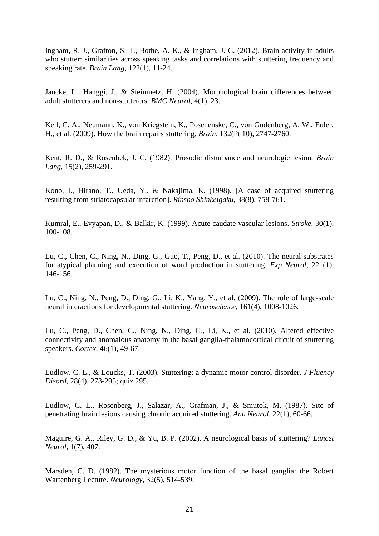<span id="page-20-10"></span>Ingham, R. J., Grafton, S. T., Bothe, A. K., & Ingham, J. C. (2012). Brain activity in adults who stutter: similarities across speaking tasks and correlations with stuttering frequency and speaking rate. *Brain Lang,* 122(1), 11-24.

<span id="page-20-12"></span>Jancke, L., Hanggi, J., & Steinmetz, H. (2004). Morphological brain differences between adult stutterers and non-stutterers. *BMC Neurol,* 4(1), 23.

<span id="page-20-11"></span>Kell, C. A., Neumann, K., von Kriegstein, K., Posenenske, C., von Gudenberg, A. W., Euler, H., et al. (2009). How the brain repairs stuttering. *Brain,* 132(Pt 10), 2747-2760.

<span id="page-20-0"></span>Kent, R. D., & Rosenbek, J. C. (1982). Prosodic disturbance and neurologic lesion. *Brain Lang,* 15(2), 259-291.

<span id="page-20-1"></span>Kono, I., Hirano, T., Ueda, Y., & Nakajima, K. (1998). [A case of acquired stuttering resulting from striatocapsular infarction]. *Rinsho Shinkeigaku,* 38(8), 758-761.

<span id="page-20-9"></span>Kumral, E., Evyapan, D., & Balkir, K. (1999). Acute caudate vascular lesions. *Stroke,* 30(1), 100-108.

<span id="page-20-5"></span>Lu, C., Chen, C., Ning, N., Ding, G., Guo, T., Peng, D., et al. (2010). The neural substrates for atypical planning and execution of word production in stuttering. *Exp Neurol,* 221(1), 146-156.

<span id="page-20-6"></span>Lu, C., Ning, N., Peng, D., Ding, G., Li, K., Yang, Y., et al. (2009). The role of large-scale neural interactions for developmental stuttering. *Neuroscience,* 161(4), 1008-1026.

<span id="page-20-7"></span>Lu, C., Peng, D., Chen, C., Ning, N., Ding, G., Li, K., et al. (2010). Altered effective connectivity and anomalous anatomy in the basal ganglia-thalamocortical circuit of stuttering speakers. *Cortex,* 46(1), 49-67.

<span id="page-20-4"></span>Ludlow, C. L., & Loucks, T. (2003). Stuttering: a dynamic motor control disorder. *J Fluency Disord,* 28(4), 273-295; quiz 295.

<span id="page-20-2"></span>Ludlow, C. L., Rosenberg, J., Salazar, A., Grafman, J., & Smutok, M. (1987). Site of penetrating brain lesions causing chronic acquired stuttering. *Ann Neurol,* 22(1), 60-66.

<span id="page-20-8"></span>Maguire, G. A., Riley, G. D., & Yu, B. P. (2002). A neurological basis of stuttering? *Lancet Neurol,* 1(7), 407.

<span id="page-20-3"></span>Marsden, C. D. (1982). The mysterious motor function of the basal ganglia: the Robert Wartenberg Lecture. *Neurology,* 32(5), 514-539.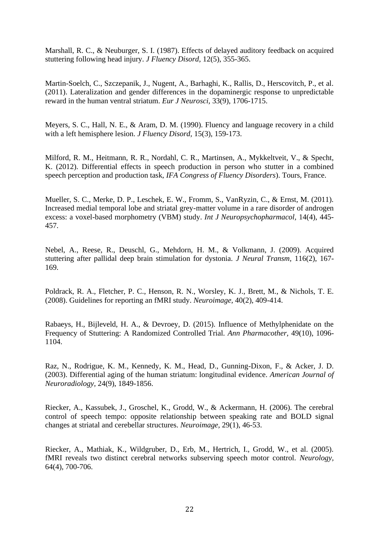<span id="page-21-0"></span>Marshall, R. C., & Neuburger, S. I. (1987). Effects of delayed auditory feedback on acquired stuttering following head injury. *J Fluency Disord,* 12(5), 355-365.

<span id="page-21-9"></span>Martin-Soelch, C., Szczepanik, J., Nugent, A., Barhaghi, K., Rallis, D., Herscovitch, P., et al. (2011). Lateralization and gender differences in the dopaminergic response to unpredictable reward in the human ventral striatum. *Eur J Neurosci,* 33(9), 1706-1715.

<span id="page-21-1"></span>Meyers, S. C., Hall, N. E., & Aram, D. M. (1990). Fluency and language recovery in a child with a left hemisphere lesion. *J Fluency Disord,* 15(3), 159-173.

<span id="page-21-6"></span>Milford, R. M., Heitmann, R. R., Nordahl, C. R., Martinsen, A., Mykkeltveit, V., & Specht, K. (2012). Differential effects in speech production in person who stutter in a combined speech perception and production task, *IFA Congress of Fluency Disorders*). Tours, France.

<span id="page-21-8"></span>Mueller, S. C., Merke, D. P., Leschek, E. W., Fromm, S., VanRyzin, C., & Ernst, M. (2011). Increased medial temporal lobe and striatal grey-matter volume in a rare disorder of androgen excess: a voxel-based morphometry (VBM) study. *Int J Neuropsychopharmacol,* 14(4), 445- 457.

<span id="page-21-2"></span>Nebel, A., Reese, R., Deuschl, G., Mehdorn, H. M., & Volkmann, J. (2009). Acquired stuttering after pallidal deep brain stimulation for dystonia. *J Neural Transm,* 116(2), 167- 169.

<span id="page-21-10"></span>Poldrack, R. A., Fletcher, P. C., Henson, R. N., Worsley, K. J., Brett, M., & Nichols, T. E. (2008). Guidelines for reporting an fMRI study. *Neuroimage,* 40(2), 409-414.

<span id="page-21-3"></span>Rabaeys, H., Bijleveld, H. A., & Devroey, D. (2015). Influence of Methylphenidate on the Frequency of Stuttering: A Randomized Controlled Trial. *Ann Pharmacother,* 49(10), 1096- 1104.

<span id="page-21-7"></span>Raz, N., Rodrigue, K. M., Kennedy, K. M., Head, D., Gunning-Dixon, F., & Acker, J. D. (2003). Differential aging of the human striatum: longitudinal evidence. *American Journal of Neuroradiology,* 24(9), 1849-1856.

<span id="page-21-4"></span>Riecker, A., Kassubek, J., Groschel, K., Grodd, W., & Ackermann, H. (2006). The cerebral control of speech tempo: opposite relationship between speaking rate and BOLD signal changes at striatal and cerebellar structures. *Neuroimage,* 29(1), 46-53.

<span id="page-21-5"></span>Riecker, A., Mathiak, K., Wildgruber, D., Erb, M., Hertrich, I., Grodd, W., et al. (2005). fMRI reveals two distinct cerebral networks subserving speech motor control. *Neurology,*  64(4), 700-706.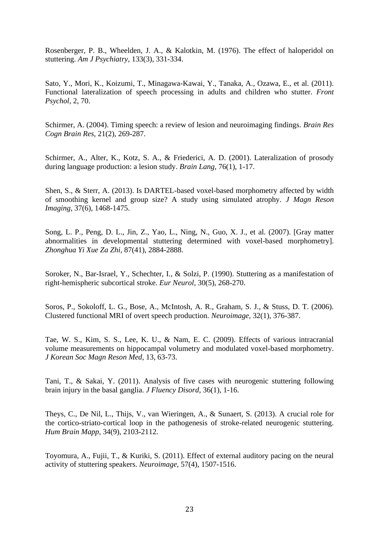<span id="page-22-4"></span>Rosenberger, P. B., Wheelden, J. A., & Kalotkin, M. (1976). The effect of haloperidol on stuttering. *Am J Psychiatry,* 133(3), 331-334.

<span id="page-22-5"></span>Sato, Y., Mori, K., Koizumi, T., Minagawa-Kawai, Y., Tanaka, A., Ozawa, E., et al. (2011). Functional lateralization of speech processing in adults and children who stutter. *Front Psychol,* 2, 70.

<span id="page-22-8"></span>Schirmer, A. (2004). Timing speech: a review of lesion and neuroimaging findings. *Brain Res Cogn Brain Res,* 21(2), 269-287.

<span id="page-22-9"></span>Schirmer, A., Alter, K., Kotz, S. A., & Friederici, A. D. (2001). Lateralization of prosody during language production: a lesion study. *Brain Lang,* 76(1), 1-17.

<span id="page-22-6"></span>Shen, S., & Sterr, A. (2013). Is DARTEL-based voxel-based morphometry affected by width of smoothing kernel and group size? A study using simulated atrophy. *J Magn Reson Imaging,* 37(6), 1468-1475.

<span id="page-22-11"></span>Song, L. P., Peng, D. L., Jin, Z., Yao, L., Ning, N., Guo, X. J., et al. (2007). [Gray matter abnormalities in developmental stuttering determined with voxel-based morphometry]. *Zhonghua Yi Xue Za Zhi,* 87(41), 2884-2888.

<span id="page-22-0"></span>Soroker, N., Bar-Israel, Y., Schechter, I., & Solzi, P. (1990). Stuttering as a manifestation of right-hemispheric subcortical stroke. *Eur Neurol,* 30(5), 268-270.

<span id="page-22-10"></span>Soros, P., Sokoloff, L. G., Bose, A., McIntosh, A. R., Graham, S. J., & Stuss, D. T. (2006). Clustered functional MRI of overt speech production. *Neuroimage,* 32(1), 376-387.

<span id="page-22-7"></span>Tae, W. S., Kim, S. S., Lee, K. U., & Nam, E. C. (2009). Effects of various intracranial volume measurements on hippocampal volumetry and modulated voxel-based morphometry. *J Korean Soc Magn Reson Med,* 13, 63-73.

<span id="page-22-1"></span>Tani, T., & Sakai, Y. (2011). Analysis of five cases with neurogenic stuttering following brain injury in the basal ganglia. *J Fluency Disord,* 36(1), 1-16.

<span id="page-22-2"></span>Theys, C., De Nil, L., Thijs, V., van Wieringen, A., & Sunaert, S. (2013). A crucial role for the cortico-striato-cortical loop in the pathogenesis of stroke-related neurogenic stuttering. *Hum Brain Mapp,* 34(9), 2103-2112.

<span id="page-22-3"></span>Toyomura, A., Fujii, T., & Kuriki, S. (2011). Effect of external auditory pacing on the neural activity of stuttering speakers. *Neuroimage,* 57(4), 1507-1516.